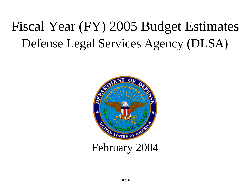# Fiscal Year (FY) 2005 Budget Estimates Defense Legal Services Agency (DLSA)



# February 2004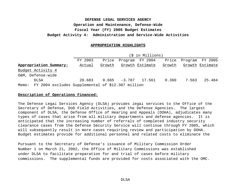#### **APPROPRIATION HIGHLIGHTS**

#### (\$ in Millions)

|                                                         | FY 2003 |        | Price Program FY 2004 |        |       | Price Program FY 2005 |
|---------------------------------------------------------|---------|--------|-----------------------|--------|-------|-----------------------|
| Appropriation Summary:                                  | Actual  | Growth | Growth Estimate       | Growth |       | Growth Estimate       |
| Budget Activity 4                                       |         |        |                       |        |       |                       |
| O&M, Defense-wide                                       |         |        |                       |        |       |                       |
| DLSA                                                    | 20.683  |        | $0.665 -3.787 17.561$ | 0.360  | 7.563 | 25.484                |
| Memo: FY 2004 excludes Supplemental of \$12.307 million |         |        |                       |        |       |                       |

#### **Description of Operations Financed:**

The Defense Legal Services Agency (DLSA) provides legal services to the Office of the Secretary of Defense, DoD Field Activities, and the Defense Agencies. The largest component of DLSA, the Defense Office of Hearing and Appeals (DOHA), adjudicates many types of cases that arise from all military departments and defense agencies. It is anticipated that the increasing number of referrals of completed industry security clearance cases from the Defense Security Service will continue through FY 2005, which will subsequently result in more cases requiring review and participation by DOHA. Budget estimates provide for additional personnel and related costs to eliminate the

Pursuant to the Secretary of Defense's issuance of Military Commission Order Number 1 on March 21, 2002, the Office of Military Commissions was established under DLSA to facilitate preparation for and trial of cases before military commissions. The supplemental funds are provided for costs associated with the OMC.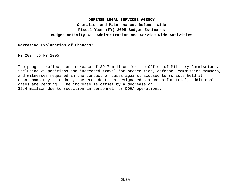#### **Narrative Explanation of Changes:**

FY 2004 to FY 2005

The program reflects an increase of \$9.7 million for the Office of Military Commissions, including 25 positions and increased travel for prosecution, defense, commission members, and witnesses required in the conduct of cases against accused terrorists held at Guantanamo Bay. To date, the President has designated six cases for trial; additional cases are pending. The increase is offset by a decrease of \$2.4 million due to reduction in personnel for DOHA operations.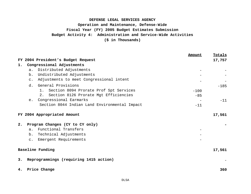|    |                                                            | Amount | Totals |
|----|------------------------------------------------------------|--------|--------|
|    | FY 2004 President's Budget Request                         |        | 17,757 |
| 1. | Congressional Adjustments                                  |        |        |
|    | Distributed Adjustments<br>a.                              |        |        |
|    | Undistributed Adjustments<br>b.                            |        |        |
|    | Adjustments to meet Congressional intent<br>$\mathsf{C}$ . |        |        |
|    | General Provisions<br>d.                                   |        | $-185$ |
|    | 1. Section 8094 Prorate Prof Spt Services                  | $-100$ |        |
|    | 2. Section 8126 Prorate Mgt Efficiencies                   | $-85$  |        |
|    | Congressional Earmarks<br>e <sub>1</sub>                   |        | $-11$  |
|    | Section 8044 Indian Land Environmental Impact              | $-11$  |        |
|    |                                                            |        |        |
|    | FY 2004 Appropriated Amount                                |        | 17,561 |
| 2. | Program Changes (CY to CY only)                            |        |        |
|    | Functional Transfers<br>a <sub>1</sub>                     |        |        |
|    | Technical Adjustments<br>b.                                |        |        |
|    | Emergent Requirements<br>$\mathsf{C}$ .                    |        |        |
|    | Baseline Funding                                           |        | 17,561 |
| 3. | Reprogrammings (requiring 1415 action)                     |        |        |
| 4. | Price Change                                               |        | 360    |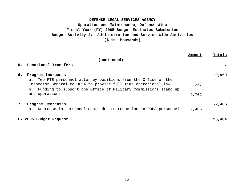|    |                                                                   | Amount   | Totals   |
|----|-------------------------------------------------------------------|----------|----------|
|    | (continued)                                                       |          |          |
|    | 5. Functional Transfers                                           |          |          |
| б. | Program Increases                                                 |          | 9,969    |
|    | Two FTE personnel attorney positions from the Office of the<br>a. |          |          |
|    | Inspector General to DLSA to provide full time operational law    | 267      |          |
|    | b. Funding to support the Office of Military Commissions stand up |          |          |
|    | and operations                                                    | 9,702    |          |
|    |                                                                   |          |          |
| 7. | Program Decreases                                                 |          | $-2,406$ |
|    | a. Decrease in personnel costs due to reduction in DOHA personnel | $-2,406$ |          |
|    |                                                                   |          |          |
|    | FY 2005 Budget Request                                            |          | 25,484   |
|    |                                                                   |          |          |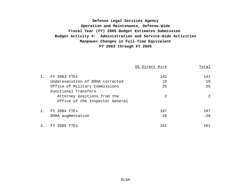# **Manpower Changes in Full-Time Equivalent FY 2003 through FY 2005 Defense Legal Services Agency Operation and Maintenance, Defense-Wide Fiscal Year (FY) 2005 Budget Estimates Submission Budget Activity 4: Administration and Service-Wide Activities**

|    |                                  | US Direct Hire | Total |
|----|----------------------------------|----------------|-------|
| 1. | FY 2003 FTES                     | 141            | 141   |
|    | Underexecution of DOHA corrected | 19             | 19    |
|    | Office of Military Commissions   | 25             | 25    |
|    | Functional Transfers             |                |       |
|    | Attorney positions from the      | 2              | 2     |
|    | Office of the Inspector General  |                |       |
| 2. | FY 2004 FTES                     | 187            | 187   |
|    | DOHA augmentation                | $-26$          | $-26$ |
| 3. | 2005 FTES<br>FY.                 | 161            | 161   |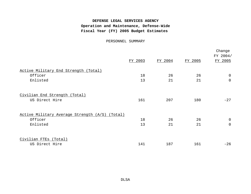# **DEFENSE LEGAL SERVICES AGENCY Operation and Maintenance, Defense-Wide Fiscal Year (FY) 2005 Budget Estimates**

PERSONNEL SUMMARY

|                                                |         |         |         | Change<br>FY 2004/ |
|------------------------------------------------|---------|---------|---------|--------------------|
|                                                | FY 2003 | FY 2004 | FY 2005 | FY 2005            |
| Active Military End Strength (Total)           |         |         |         |                    |
| Officer                                        | 18      | 26      | 26      | 0                  |
| Enlisted                                       | 13      | 21      | 21      | 0                  |
| Civilian End Strength (Total)                  |         |         |         |                    |
| US Direct Hire                                 | 161     | 207     | 180     | $-27$              |
| Active Military Average Strength (A/S) (Total) |         |         |         |                    |
| Officer                                        | 18      | 26      | 26      | $\overline{0}$     |
| Enlisted                                       | 13      | 21      | 21      | 0                  |
| Civilian FTEs (Total)                          |         |         |         |                    |
| US Direct Hire                                 | 141     | 187     | 161     | $-26$              |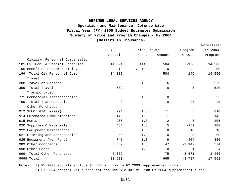# **Fiscal Year (FY) 2005 Budget Estimates Submission DEFENSE LEGAL SERVICES AGENCY Operation and Maintenance, Defense-Wide Summary of Price and Program Changes - FY 2004 (Dollars in Thousands)**

|                                   |             |              |             |                | Normalized |
|-----------------------------------|-------------|--------------|-------------|----------------|------------|
|                                   | FY 2003     | Price Growth |             | Program        | FY 2004    |
|                                   | Actuals     | Percent      | Amount      | <u>Growth</u>  | Program    |
| Civilian Personnel Compensation   |             |              |             |                |            |
| 101 Ex., Gen. & Special Schedules | 14,094      | .04148       | 584         | $-178$         | 14,500     |
| 106 Benefits to Former Employees  | 18          | .04148       | $\Omega$    | 32             | 50         |
| Total Civ Personnel Comp<br>199   | 14,112      |              | 584         | $-146$         | 14,550     |
| Travel                            |             |              |             |                |            |
| 308 Travel of Persons             | 509         | 1.3          | 6           | 5              | 520        |
| Total Travel<br>399               | 509         |              | 6           | 5              | 520        |
| Transportation                    |             |              |             |                |            |
| 771 Commercial Transportation     | $\mathbf 0$ | 1.3          | $\mathbf 0$ | 25             | 25         |
| Total Transportation<br>799       | $\Omega$    |              | $\Omega$    | 25             | 25         |
| Other Purchases                   |             |              |             |                |            |
| 912 SLUC (GSA Leases)             | 794         | 1.5          | 11          | 5              | 810        |
| 914 Purchased Communications      | 142         | 1.3          | 1           | $\overline{a}$ | 145        |
| 915 Rents                         | 200         | 1.3          | 2           | 3              | 205        |
| 920 Supplies & Materials          | 454         | 1.3          | 5           | $-159$         | 300        |
| 922 Equipment Maintenance         | $\Omega$    | 1.3          | $\Omega$    | 18             | 18         |
| 921 Printing and Reproduction     | 55          | 1.3          | 0           | 5              | 60         |
| 925 Equipment (Non-Fund)          | 745         | 1.3          | 9           | $-404$         | 350        |
| 989 Other Contracts               | 3,669       | 1.3          | 47          | $-3,142$       | 574        |
| 998 Other Costs                   | 3           | 1.3          | $\Omega$    | $\mathbf{1}$   | 4          |
| Total Other Purchases<br>999      | 6,062       |              | 75          | $-3,671$       | 2,466      |
| 9999 Total                        | 20,683      |              | 665         | $-3,787$       | 17,561     |

Notes: 1) FY 2003 actuals include \$4.475 million in FY 2003 supplemental funds.

2) FY 2004 program value does not include \$12.307 million FY 2004 supplemental funds.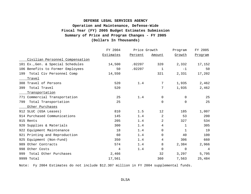# **Fiscal Year (FY) 2005 Budget Estimates Submission DEFENSE LEGAL SERVICES AGENCY Operation and Maintenance, Defense-Wide Summary of Price and Program Changes - FY 2005 (Dollars In Thousands)**

|                                   | FY 2004   | Price Growth |                | Program     | FY 2005 |
|-----------------------------------|-----------|--------------|----------------|-------------|---------|
|                                   | Estimates | Percent      | Amount         | Growth      | Program |
| Civilian Personnel Compensation   |           |              |                |             |         |
| 101 Ex., Gen. & Special Schedules | 14,500    | .02207       | 320            | 2,332       | 17,152  |
| 106 Benefits to Former Employees  | 50        | .02207       | $\mathbf{1}$   | $-1$        | 50      |
| Total Civ Personnel Comp<br>199   | 14,550    |              | 321            | 2,331       | 17,202  |
| Travel                            |           |              |                |             |         |
| 308 Travel of Persons             | 520       | 1.4          | 7              | 1,935       | 2,462   |
| Total Travel<br>399               | 520       |              | 7              | 1,935       | 2,462   |
| Transportation                    |           |              |                |             |         |
| 771 Commercial Transportation     | 25        | 1.4          | 0              | $\Omega$    | 25      |
| Total Transportation<br>799       | 25        |              | $\overline{0}$ | $\mathbf 0$ | 25      |
| Other Purchases                   |           |              |                |             |         |
| 912 SLUC (GSA Leases)             | 810       | 1.5          | 12             | 185         | 1,007   |
| 914 Purchased Communications      | 145       | 1.4          | 2              | 53          | 200     |
| 915 Rents                         | 205       | 1.4          | 2              | 327         | 534     |
| 920 Supplies & Materials          | 300       | 1.4          | 4              | 1           | 305     |
| 922 Equipment Maintenance         | 18        | 1.4          | 0              | 1           | 19      |
| 921 Printing and Reproduction     | 60        | 1.4          | 0              | 40          | 100     |
| 925 Equipment (Non-Fund)          | 350       | 1.4          | 4              | 306         | 660     |
| Other Contracts<br>989            | 574       | 1.4          | 8              | 2,384       | 2,966   |
| 998 Other Costs                   | 4         | 1.4          | $\Omega$       | $\Omega$    | 4       |
| Total Other Purchases<br>999      | 2,466     |              | 32             | 3,297       | 5,795   |
| 9999 Total                        | 17,561    |              | 360            | 7,563       | 25,484  |

Note: Fy 2004 Estimates do not include \$12.307 million in FY 2004 supplemental funds.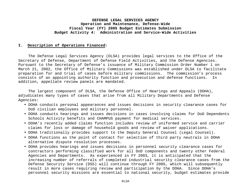#### **I. Description of Operations Financed:**

The Defense Legal Services Agency (DLSA) provides legal services to the Office of the Secretary of Defense, Department of Defense Field Activities, and the Defense Agencies. Pursuant to the Secretary of Defense's issuance of Military Commission Order Number 1 on March 21, 2002, the Office of Military Commissions was established under DLSA to facilitate preparation for and trial of cases before military commissions. The commission's process consists of an appointing authority function and prosecution and defense functions. In addition, appellate review panels are mandated.

The largest component of DLSA, the Defense Office of Hearings and Appeals (DOHA), adjudicates many types of cases that arise from all Military Departments and Defense Agencies:

- DOHA conducts personal appearances and issues decisions in security clearance cases for DoD civilian employees and military personnel.
- DOHA conducts hearings and issues decisions in cases involving claims for DoD Dependents Schools Activity benefits and CHAMPUS payment for medical services.
- DOHA's recently added claims function includes review of uniformed service and carrier claims for loss or damage of household goods and review of waiver applications.
- DOHA traditionally provides support to the Deputy General Counsel (Legal Counsel).
- DOHA functions as the point of contact for selection of third party neutrals in DOHA alternative dispute resolution processes.
- DOHA provides hearings and issues decisions in personnel security clearance cases for contractors performing classified work for all DoD components and twenty other Federal Agencies and Departments. As experienced in FY 2003, it is anticipated that the increasing number of referrals of completed industrial security clearance cases from the Defense Security Service (DSS) will continue through FY 2005, which will subsequently result in more cases requiring review and participation by the DOHA. Since DOHA's personnel security missions are essential to national security, budget estimates provide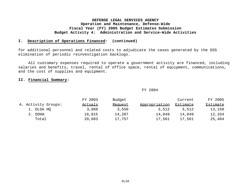#### **I. Description of Operations Financed: (continued)**

for additional personnel and related costs to adjudicate the cases generated by the DSS elimination of periodic reinvestigation backlogs.

All customary expenses required to operate a government activity are financed, including salaries and benefits, travel, rental of office space, rental of equipment, communications, and the cost of supplies and equipment.

#### **II. Financial Summary:**

#### FY 2004

|                     | FY 2003 | Budget  |               | Current  | FY 2005  |
|---------------------|---------|---------|---------------|----------|----------|
| A. Activity Groups: | Actuals | Request | Appropriation | Estimate | Estimate |
| 1. DLSA HQ          | 3,868   | 3,550   | 3,512         | 3.512    | 13,150   |
| 2. DOHA             | 16,815  | 14,207  | 14,049        | 14,049   | 12,334   |
| Total               | 20,683  | 17,757  | 17,561        | 17,561   | 25,484   |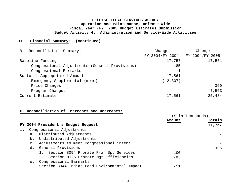#### **II. Financial Summary: (continued)**

| B. Reconciliation Summary:                     | Change          | Change          |
|------------------------------------------------|-----------------|-----------------|
|                                                | FY 2004/FY 2004 | FY 2004/FY 2005 |
| Baseline Funding                               | 17,757          | 17,561          |
| Congressional Adjustments (General Provisions) | $-185$          |                 |
| Congressional Earmarks                         | $-11$           |                 |
| Subtotal Appropriated Amount                   | 17,561          |                 |
| Emergency Supplemental (memo)                  | (12, 307)       |                 |
| Price Changes                                  |                 | 360             |
| Program Changes                                |                 | 7,563           |
| Current Estimate                               | 17,561          | 25,484          |

#### **C. Reconciliation of Increases and Decreases:**

|    |                |                                               | in Thousands) |        |
|----|----------------|-----------------------------------------------|---------------|--------|
|    |                |                                               | Amount        | Totals |
|    |                | FY 2004 President's Budget Request            |               | 17,757 |
| 1. |                | Congressional Adjustments                     |               |        |
|    |                | a. Distributed Adjustments                    |               |        |
|    | b.             | Undistributed Adjustments                     |               |        |
|    | $\mathsf{C}$ . | Adjustments to meet Congressional intent      |               |        |
|    | d.             | General Provisions                            |               | $-196$ |
|    |                | 1. Section 8094 Prorate Prof Spt Services     | $-100$        |        |
|    |                | 2. Section 8126 Prorate Mgt Efficiencies      | $-85$         |        |
|    | e.             | Congressional Earmarks                        |               |        |
|    |                | Section 8044 Indian Land Environmental Impact | $-11$         |        |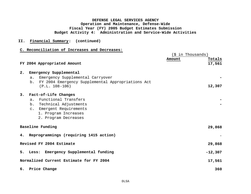#### **II. Financial Summary: (continued)**

#### **C. Reconciliation of Increases and Decreases:**

|    |                                                      | (\$ in Thousands) |  |  |
|----|------------------------------------------------------|-------------------|--|--|
|    |                                                      | Amount<br>Totals  |  |  |
|    | FY 2004 Appropriated Amount                          | 17,561            |  |  |
|    |                                                      |                   |  |  |
| 2. | Emergency Supplemental                               |                   |  |  |
|    | Emergency Supplemental Carryover<br>a.               |                   |  |  |
|    | b. FY 2004 Emergency Supplemental Appropriations Act |                   |  |  |
|    | $(P.L. 108-106)$                                     | 12,307            |  |  |
| 3. | Fact-of-Life Changes                                 |                   |  |  |
|    | a. Functional Transfers                              |                   |  |  |
|    | b. Technical Adjustments                             |                   |  |  |
|    | c. Emergent Requirements                             |                   |  |  |
|    | 1. Program Increases                                 |                   |  |  |
|    | 2. Program Decreases                                 |                   |  |  |
|    |                                                      |                   |  |  |
|    | Baseline Funding                                     | 29,868            |  |  |
|    |                                                      |                   |  |  |
|    | 4. Reprogrammings (requiring 1415 action)            |                   |  |  |
|    | Revised FY 2004 Estimate                             | 29,868            |  |  |
|    |                                                      |                   |  |  |
|    | 5. Less: Emergency Supplemental funding              | $-12,307$         |  |  |
|    | Normalized Current Estimate for FY 2004              | 17,561            |  |  |
|    |                                                      |                   |  |  |
|    | 6. Price Change                                      | 360               |  |  |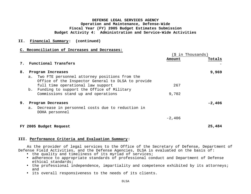#### **II. Financial Summary: (continued)**

#### **C. Reconciliation of Increases and Decreases:**

|    |    |                                                                                                        | in Thousands)<br>-S |          |  |
|----|----|--------------------------------------------------------------------------------------------------------|---------------------|----------|--|
|    |    | 7. Functional Transfers                                                                                | Amount              | Totals   |  |
|    |    |                                                                                                        |                     |          |  |
| 8. |    | Program Increases                                                                                      |                     | 9,969    |  |
|    |    | a. Two FTE personnel attorney positions from the<br>Office of the Inspector General to DLSA to provide |                     |          |  |
|    |    | full time operational law support                                                                      | 267                 |          |  |
|    | b. | Funding to support the Office of Military                                                              |                     |          |  |
|    |    | Commissions stand up and operations                                                                    | 9,702               |          |  |
| 9. |    | Program Decreases                                                                                      |                     | $-2,406$ |  |
|    | a. | Decrease in personnel costs due to reduction in<br>DOHA personnel                                      |                     |          |  |
|    |    |                                                                                                        | $-2,406$            |          |  |
|    |    | FY 2005 Budget Request                                                                                 |                     | 25,484   |  |

#### **III. Performance Criteria and Evaluation Summary:**

As the provider of legal services to the Office of the Secretary of Defense, Department of Defense Field Activities, and the Defense Agencies, DLSA is evaluated on the basis of:

- the quality and timeliness of its myriad of services;
- adherence to appropriate standards of professional conduct and Department of Defense ethical standards;
- the professional independence, impartiality and competence exhibited by its attorneys; and
- its overall responsiveness to the needs of its clients.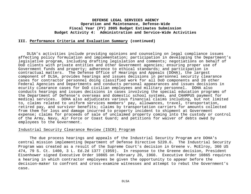#### **III. Performance Criteria and Evaluation Summary (continued)**

DLSA's activities include providing opinions and counseling on legal compliance issues affecting policy formulation and implementation; participation in developing the Department's legislative program, including drafting legislation and comments; negotiations on behalf of DoD clients with private entities and other Government agencies; ensuring proper use of Government funds and property; adherence to ethical standards; and participation in contractual matters. The Defense Office of Hearings and Appeals (DOHA), the largest component of DLSA, provides hearings and issues decisions in personnel security clearance cases for contractor personnel doing classified work for all DoD components and 20 other Federal Agencies and Departments and conducts personal appearances and issues decisions in ecurity clearance cases for DoD civilian employees and military personnel. DOHA also conducts hearings and issues decisions in cases involving the special education programs of the Department of Defense's overseas and domestic school systems, and CHAMPUS payment for medical services. DOHA also adjudicates various financial claims including, but not limited to, claims related to uniform services members' pay, allowances, travel, transportation, retired pay, and survivor benefits; claims by transportation carriers for amounts collected from them for loss and damage incurred to property incident to shipment at Government expense; claims for proceeds of sale of unclaimed property coming into the custody or control of the Army, Navy, Air Force or Coast Guard; and petitions for waiver of debts owed by employees to the Government.

#### Industrial Security Clearance Review (ISCR) Program

The due process hearings and appeals of the Industrial Security Program are DOHA's central mission implementing Department of Defense Directive 5220.6. The Industrial Security Program was created as a result of the Supreme Court's decision in Greene v. McElroy, 360 US 474, 79 S. Ct. 1400, 3 L. Ed.2d 1377 (1959). In response to the Greene decision, President Eisenhower signed Executive Order 10865 on February 20, 1960. Executive Order 10865 requires a hearing in which contractor employees be given the opportunity to appear before the decision-maker to confront and cross-examine witnesses and attempt to rebut the Government's case.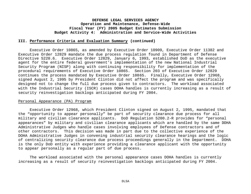#### **III. Performance Criteria and Evaluation Summary (continued)**

Executive Order 10865, as amended by Executive Order 10909, Executive Order 11382 and Executive Order 12829 mandate the due process regulation found in Department of Defense Directive 5220.6. Executive Order 12829, January 6, 1993, established DoD as the executive agent for the entire federal government's implementation of the new National Industrial Security Program (NISP) along with continuing responsibility for implementation of the procedural requirements of Executive Order 10865. Section 203 of Executive Order 12829 continues the process mandated by Executive Order 10865. Finally, Executive Order 12968, signed August 2, 1995 by President Clinton did not affect the program and was specifically designed not to change the full due process given to contractors. The workload associated with the Industrial Security (ISCR) cases DOHA handles is currently increasing as a result of security reinvestigation backlogs anticipated during FY 2004.

#### Personal Appearance (PA) Program

Executive Order 12968, which President Clinton signed on August 2, 1995, mandated that the "opportunity to appear personally" be part of security clearance due process for all military and civilian clearance applicants. DoD Regulation 5200.2-R provides for "personal appearances" by military and civilian clearance applicants which are handled by the same DOHA Administrative Judges who handle cases involving employees of Defense contractors and of other contractors. This decision was made in part due to the collective experience of the DOHA Administrative Judges in convening industrial security clearance hearings and the logic of centralizing security clearance due process proceedings generally in the Department. DOHA is the only DoD entity with experience providing a clearance applicant with the opportunity to appear personally as a regular part of due process.

The workload associated with the personal appearance cases DOHA handles is currently increasing as a result of security reinvestigation backlogs anticipated during FY 2004.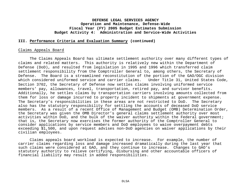#### **III. Performance Criteria and Evaluation Summary (continued)**

#### Claims Appeals Board

The Claims Appeals Board has ultimate settlement authority over many different types of claims and related matters. This authority is relatively new within the Department of Defense (DoD), and resulted from legislation in 1995 and 1996 which transferred claim settlement responsibility from the Comptroller General to, among others, the Secretary of Defense. The Board is a streamlined reconstitution of the portion of the GAO/OGC division which considered uniformed service and carrier claims. Under Title 31, United States Code, Section 3702, the Secretary of Defense now settles claims involving uniformed service members' pay, allowances, travel, transportation, retired pay, and survivor benefits. Additionally, he settles claims by transportation carriers involving amounts collected from them for loss or damage incurred to property incident to shipments at government expense. The Secretary's responsibilities in these areas are not restricted to DoD. The Secretary also has the statutory responsibility for settling the accounts of deceased DoD service members. As a result of a recent Office of Management and Budget (OMB) Determination Order, the Secretary was given the OMB Director's general claims settlement authority over most activities within DoD, and the bulk of the waiver authority within the Federal government; that is, the Secretary now exercises the former authority of the Comptroller General to consider applications by service members and DoD employees to waive overpayment debts exceeding \$1,500, and upon request advises non-DoD agencies on waiver applications by their civilian employees.

Claims appeals board workload is expected to increase. For example, the number of carrier claims regarding loss and damage increased dramatically during the last year that such claims were considered at GAO, and they continue to increase. Changes to GAO's statutory authority to relieve certifying, disbursing and other accountable officers of financial liability may result in added responsibilities.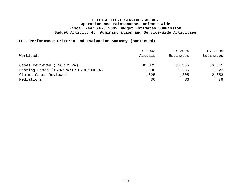### **III. Performance Criteria and Evaluation Summary (continued)**

| Workload:                             | FY 2003<br>Actuals | FY 2004<br>Estimates | FY 2005<br>Estimates |
|---------------------------------------|--------------------|----------------------|----------------------|
| Cases Reviewed (ISCR & PA)            | 30,875             | 34,305               | 36,841               |
| Hearing Cases (ISCR/PA/TRICARE/DODEA) | 1,500              | 1,666                | 1,822                |
| Claims Cases Reviewed                 | 1,625              | 1,805                | 2,053                |
| Mediations                            | 30                 | 33                   | 36                   |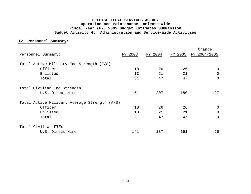#### **IV. Personnel Summary:**

|                                              |         |         |         | Change         |
|----------------------------------------------|---------|---------|---------|----------------|
| Personnel Summary:                           | FY 2003 | FY 2004 | FY 2005 | FY 2004/2005   |
| Total Active Military End Strength (E/S)     |         |         |         |                |
| Officer                                      | 18      | 26      | 26      | $\Omega$       |
| Enlisted                                     | 13      | 21      | 21      | $\Omega$       |
| Total                                        | 31      | 47      | 47      | $\overline{0}$ |
| Total Civilian End Strength                  |         |         |         |                |
| U.S. Direct Hire                             | 161     | 207     | 180     | $-27$          |
| Total Active Military Average Strength (A/S) |         |         |         |                |
| Officer                                      | 18      | 26      | 26      | $\Omega$       |
| Enlisted                                     | 13      | 21      | 21      | $\Omega$       |
| Total                                        | 31      | 47      | 47      | $\Omega$       |
| Total Civilian FTEs                          |         |         |         |                |
| U.S. Direct Hire                             | 141     | 187     | 161     | $-26$          |